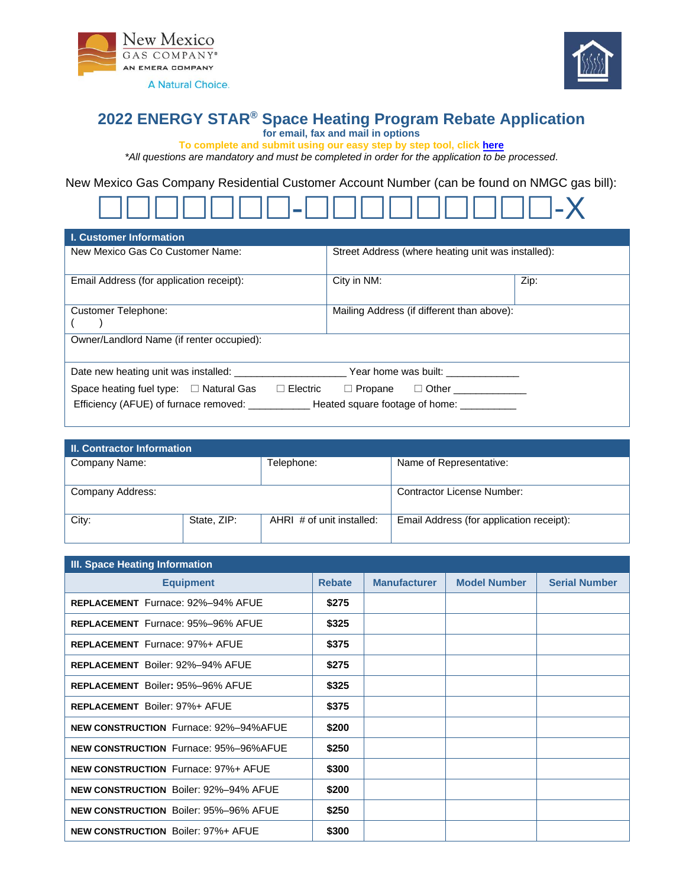



# **2022 ENERGY STAR® Space Heating Program Rebate Application**

**for email, fax and mail in options**

#### **To complete and submit using our easy step by step tool, click [here](https://nmgcrebates.icfwebservices.com/)**

*\*All questions are mandatory and must be completed in order for the application to be processed*.

New Mexico Gas Company Residential Customer Account Number (can be found on NMGC gas bill):

$$
\square \square \square \square \square \square \square \square \square \square \square \square \square \square \square \square \square \square \square
$$

| <b>I. Customer Information</b>                                       |                                                    |  |  |  |  |  |
|----------------------------------------------------------------------|----------------------------------------------------|--|--|--|--|--|
| New Mexico Gas Co Customer Name:                                     | Street Address (where heating unit was installed): |  |  |  |  |  |
| Email Address (for application receipt):                             | City in NM:<br>Zip:                                |  |  |  |  |  |
| Customer Telephone:                                                  | Mailing Address (if different than above):         |  |  |  |  |  |
| Owner/Landlord Name (if renter occupied):                            |                                                    |  |  |  |  |  |
| Date new heating unit was installed:                                 | Year home was built:                               |  |  |  |  |  |
| $\Box$ Electric<br>Space heating fuel type: $\Box$ Natural Gas       | $\Box$ Other<br>$\Box$ Propane                     |  |  |  |  |  |
| Efficiency (AFUE) of furnace removed: Beated square footage of home: |                                                    |  |  |  |  |  |

| <b>II. Contractor Information</b> |             |                            |                                          |  |  |  |  |
|-----------------------------------|-------------|----------------------------|------------------------------------------|--|--|--|--|
| Company Name:                     |             | Telephone:                 | Name of Representative:                  |  |  |  |  |
|                                   |             |                            |                                          |  |  |  |  |
| Company Address:                  |             | Contractor License Number: |                                          |  |  |  |  |
| City:                             | State, ZIP: | AHRI # of unit installed:  | Email Address (for application receipt): |  |  |  |  |

| III. Space Heating Information               |               |                     |                     |                      |  |  |  |
|----------------------------------------------|---------------|---------------------|---------------------|----------------------|--|--|--|
| <b>Equipment</b>                             | <b>Rebate</b> | <b>Manufacturer</b> | <b>Model Number</b> | <b>Serial Number</b> |  |  |  |
| REPLACEMENT Furnace: 92%-94% AFUE            | \$275         |                     |                     |                      |  |  |  |
| REPLACEMENT Furnace: 95%-96% AFUE            | \$325         |                     |                     |                      |  |  |  |
| REPLACEMENT Furnace: 97%+ AFUE               | \$375         |                     |                     |                      |  |  |  |
| REPLACEMENT Boiler: 92%-94% AFUE             | \$275         |                     |                     |                      |  |  |  |
| REPLACEMENT Boiler: 95%-96% AFUE             | \$325         |                     |                     |                      |  |  |  |
| REPLACEMENT Boiler: 97%+ AFUE                | \$375         |                     |                     |                      |  |  |  |
| NEW CONSTRUCTION Furnace: 92%-94%AFUE        | \$200         |                     |                     |                      |  |  |  |
| NEW CONSTRUCTION Furnace: 95%-96%AFUE        | \$250         |                     |                     |                      |  |  |  |
| <b>NEW CONSTRUCTION Furnace: 97%+ AFUE</b>   | \$300         |                     |                     |                      |  |  |  |
| <b>NEW CONSTRUCTION Boiler: 92%-94% AFUE</b> | \$200         |                     |                     |                      |  |  |  |
| <b>NEW CONSTRUCTION Boiler: 95%-96% AFUE</b> | \$250         |                     |                     |                      |  |  |  |
| <b>NEW CONSTRUCTION Boiler: 97%+ AFUE</b>    | \$300         |                     |                     |                      |  |  |  |